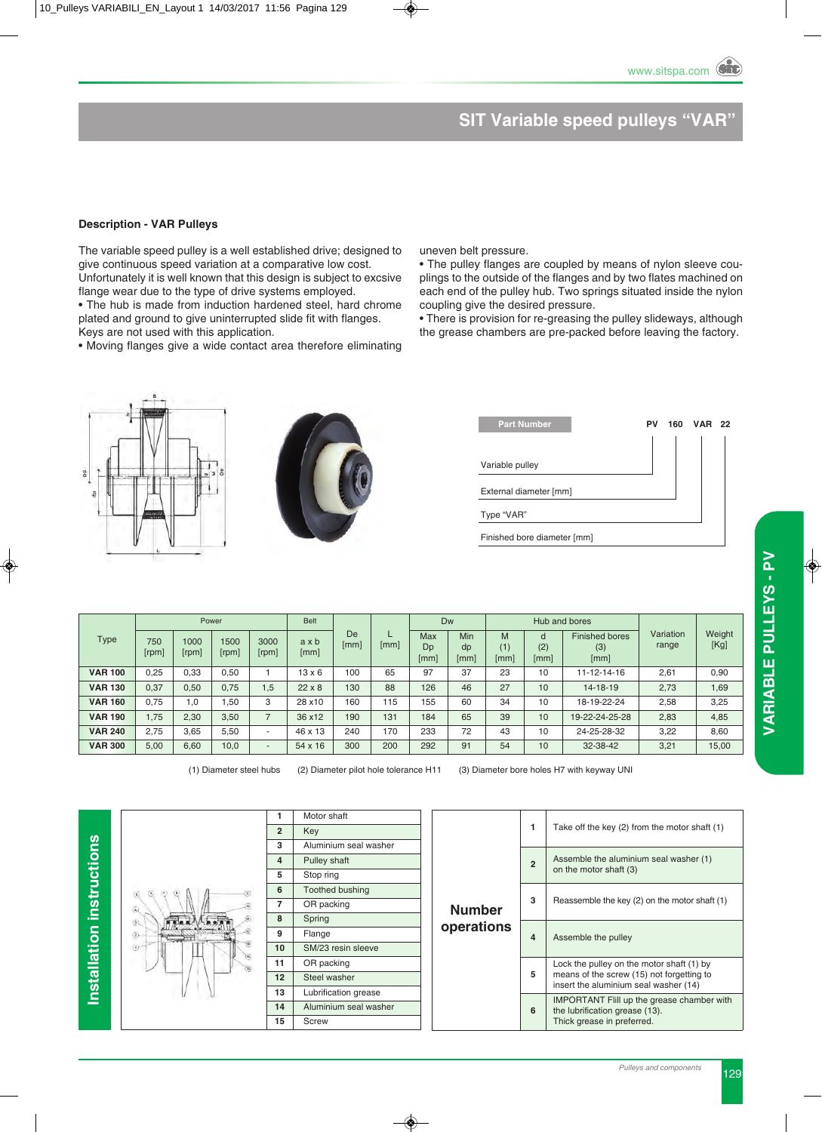# **SIT Variable speed pulleys "VAR"**

#### **Description - VAR Pulleys**

The variable speed pulley is a well established drive; designed to give continuous speed variation at a comparative low cost. Unfortunately it is well known that this design is subject to excsive

flange wear due to the type of drive systems employed. • The hub is made from induction hardened steel, hard chrome plated and ground to give uninterrupted slide fit with flanges.

Keys are not used with this application.

• Moving flanges give a wide contact area therefore eliminating

uneven belt pressure.

• The pulley flanges are coupled by means of nylon sleeve couplings to the outside of the flanges and by two flates machined on each end of the pulley hub. Two springs situated inside the nylon coupling give the desired pressure.

• There is provision for re-greasing the pulley slideways, although the grease chambers are pre-packed before leaving the factory.





| <b>Part Number</b>          | PV | 160 | <b>VAR</b> | 22 |
|-----------------------------|----|-----|------------|----|
|                             |    |     |            |    |
| Variable pulley             |    |     |            |    |
| External diameter [mm]      |    |     |            |    |
| Type "VAR"                  |    |     |            |    |
| Finished bore diameter [mm] |    |     |            |    |

|                |              |               | Power         |                          | <b>Belt</b>   |            |      | Dw                       |                   |                  |                  | Hub and bores                        |                    |                |
|----------------|--------------|---------------|---------------|--------------------------|---------------|------------|------|--------------------------|-------------------|------------------|------------------|--------------------------------------|--------------------|----------------|
| <b>Type</b>    | 750<br>[rpm] | 1000<br>[rpm] | 1500<br>[rpm] | 3000<br>[rpm]            | axb<br>[mm]   | De<br>[mm] | [mm] | <b>Max</b><br>Dp<br>[mm] | Min<br>dp<br>[mm] | M<br>(1)<br>[mm] | a<br>(2)<br>[mm] | <b>Finished bores</b><br>(3)<br>[mm] | Variation<br>range | Weight<br>[Kg] |
| <b>VAR 100</b> | 0,25         | 0.33          | 0.50          |                          | $13 \times 6$ | 100        | 65   | 97                       | 37                | 23               | 10               | 11-12-14-16                          | 2,61               | 0,90           |
| <b>VAR 130</b> | 0,37         | 0,50          | 0.75          | 1,5                      | $22 \times 8$ | 130        | 88   | 126                      | 46                | 27               | 10               | 14-18-19                             | 2,73               | 1,69           |
| <b>VAR 160</b> | 0,75         | 1.0           | .50           | 3                        | 28 x10        | 160        | 115  | 155                      | 60                | 34               | 10               | 18-19-22-24                          | 2,58               | 3,25           |
| <b>VAR 190</b> | 1,75         | 2,30          | 3,50          | $\overline{ }$           | 36 x12        | 190        | 131  | 184                      | 65                | 39               | 10 <sup>°</sup>  | 19-22-24-25-28                       | 2,83               | 4,85           |
| <b>VAR 240</b> | 2.75         | 3.65          | 5.50          | $\overline{\phantom{a}}$ | 46 x 13       | 240        | 170  | 233                      | 72                | 43               | 10               | 24-25-28-32                          | 3,22               | 8,60           |
| <b>VAR 300</b> | 5,00         | 6,60          | 10,0          | $\overline{\phantom{a}}$ | 54 x 16       | 300        | 200  | 292                      | 91                | 54               | 10 <sup>°</sup>  | 32-38-42                             | 3,21               | 15,00          |

(1) Diameter steel hubs (2) Diameter pilot hole tolerance H11 (3) Diameter bore holes H7 with keyway UNI

**Installation instructions Installation instructions**

|                   | 1                 | Motor shaft            |
|-------------------|-------------------|------------------------|
|                   | $\overline{2}$    | Key                    |
|                   | 3                 | Aluminium seal washer  |
|                   | 4                 | Pulley shaft           |
|                   | 5                 | Stop ring              |
|                   | 6                 | <b>Toothed bushing</b> |
|                   | 7                 | OR packing             |
| (5)               | 8                 | Spring                 |
| 2                 | 9                 | Flange                 |
| $\left( i\right)$ | 10                | SM/23 resin sleeve     |
|                   | 11                | OR packing             |
|                   | $12 \overline{ }$ | Steel washer           |
|                   | 13                | Lubrification grease   |
|                   | 14                | Aluminium seal washer  |
|                   | 15                | <b>Screw</b>           |
|                   |                   |                        |

|            | 1              | Take off the key (2) from the motor shaft (1)                                                                                   |
|------------|----------------|---------------------------------------------------------------------------------------------------------------------------------|
|            | $\overline{2}$ | Assemble the aluminium seal washer (1)<br>on the motor shaft (3)                                                                |
| Number     | 3              | Reassemble the key (2) on the motor shaft (1)                                                                                   |
| operations | 4              | Assemble the pulley                                                                                                             |
|            | 5              | Lock the pulley on the motor shaft (1) by<br>means of the screw (15) not forgetting to<br>insert the aluminium seal washer (14) |
|            | 6              | <b>IMPORTANT Flill up the grease chamber with</b><br>the lubrification grease (13).<br>Thick grease in preferred.               |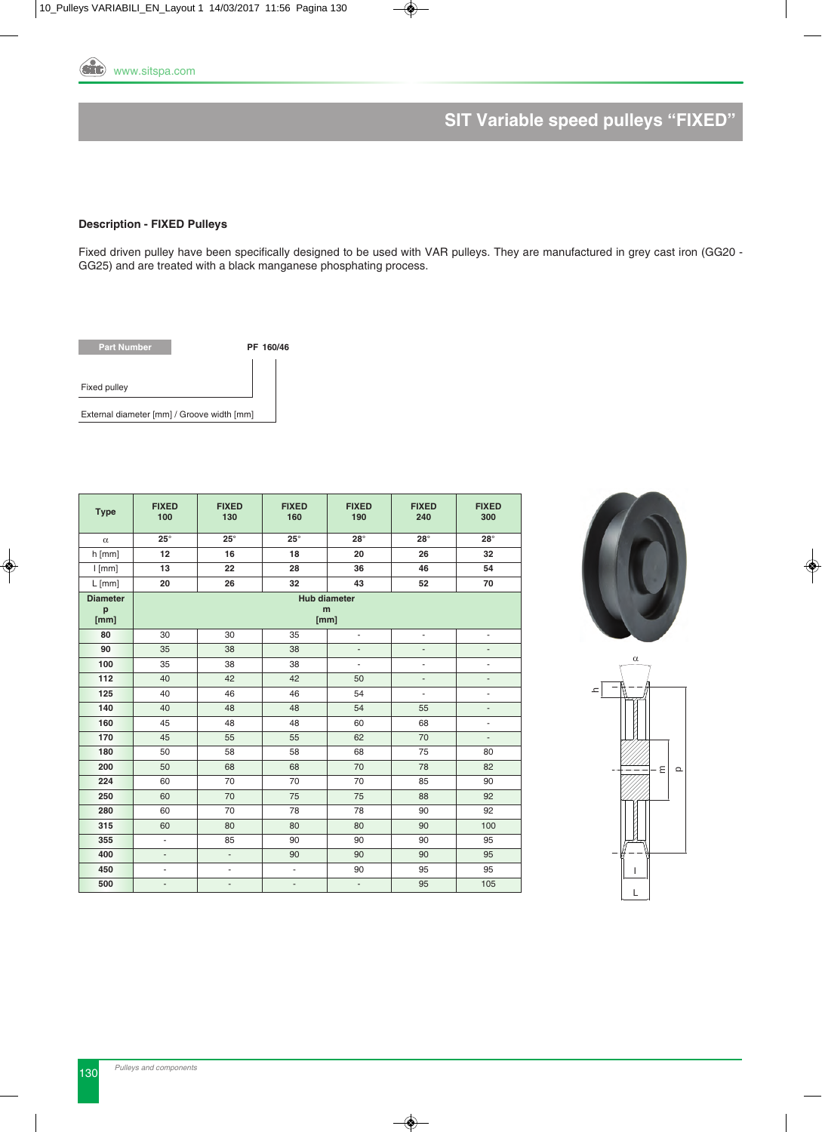

# **SIT Variable speed pulleys "FIXED"**

#### **Description - FIXED Pulleys**

Fixed driven pulley have been specifically designed to be used with VAR pulleys. They are manufactured in grey cast iron (GG20 - GG25) and are treated with a black manganese phosphating process.



| <b>Type</b>                  | <b>FIXED</b><br>100      | <b>FIXED</b><br>130 | <b>FIXED</b><br>160 | <b>FIXED</b><br>190              | <b>FIXED</b><br>240 | <b>FIXED</b><br>300      |
|------------------------------|--------------------------|---------------------|---------------------|----------------------------------|---------------------|--------------------------|
| $\alpha$                     | $25^{\circ}$             | $25^\circ$          | $25^\circ$          | $28^\circ$                       | $28^\circ$          | $28^\circ$               |
| $h$ [mm]                     | 12                       | 16                  | 18                  | 20                               | 26                  | 32                       |
| $l$ [mm]                     | 13                       | 22                  | 28                  | 36                               | 46                  | 54                       |
| $L$ [mm]                     | 20                       | 26                  | 32                  | 43                               | 52                  | 70                       |
| <b>Diameter</b><br>p<br>[mm] |                          |                     |                     | <b>Hub diameter</b><br>m<br>[mm] |                     |                          |
| 80                           | 30                       | 30                  | 35                  | ä,                               | ÷,                  | $\overline{\phantom{a}}$ |
| 90                           | 35                       | 38                  | 38                  | $\blacksquare$                   | ÷,                  | $\overline{\phantom{a}}$ |
| 100                          | 35                       | 38                  | 38                  | ÷,                               | ÷,                  | ÷,                       |
| 112                          | 40                       | 42                  | 42                  | 50                               | $\overline{a}$      | ÷                        |
| 125                          | 40                       | 46                  | 46                  | 54                               | ÷,                  | ÷,                       |
| 140                          | 40                       | 48                  | 48                  | 54                               | 55                  | $\overline{\phantom{a}}$ |
| 160                          | 45                       | 48                  | 48                  | 60                               | 68                  | ÷,                       |
| 170                          | 45                       | 55                  | 55                  | 62                               | 70                  | $\frac{1}{2}$            |
| 180                          | 50                       | 58                  | 58                  | 68                               | 75                  | 80                       |
| 200                          | 50                       | 68                  | 68                  | 70                               | 78                  | 82                       |
| 224                          | 60                       | 70                  | 70                  | 70                               | 85                  | 90                       |
| 250                          | 60                       | 70                  | 75                  | 75                               | 88                  | 92                       |
| 280                          | 60                       | 70                  | 78                  | 78                               | 90                  | 92                       |
| 315                          | 60                       | 80                  | 80                  | 80                               | 90                  | 100                      |
| 355                          | ä,                       | 85                  | 90                  | 90                               | 90                  | 95                       |
| 400                          | $\overline{\phantom{a}}$ | ÷.                  | 90                  | 90                               | 90                  | 95                       |
| 450                          | $\blacksquare$           | $\blacksquare$      | ÷                   | 90                               | 95                  | 95                       |
| 500                          | $\overline{\phantom{m}}$ | ٠                   | $\overline{a}$      | $\overline{\phantom{m}}$         | 95                  | 105                      |



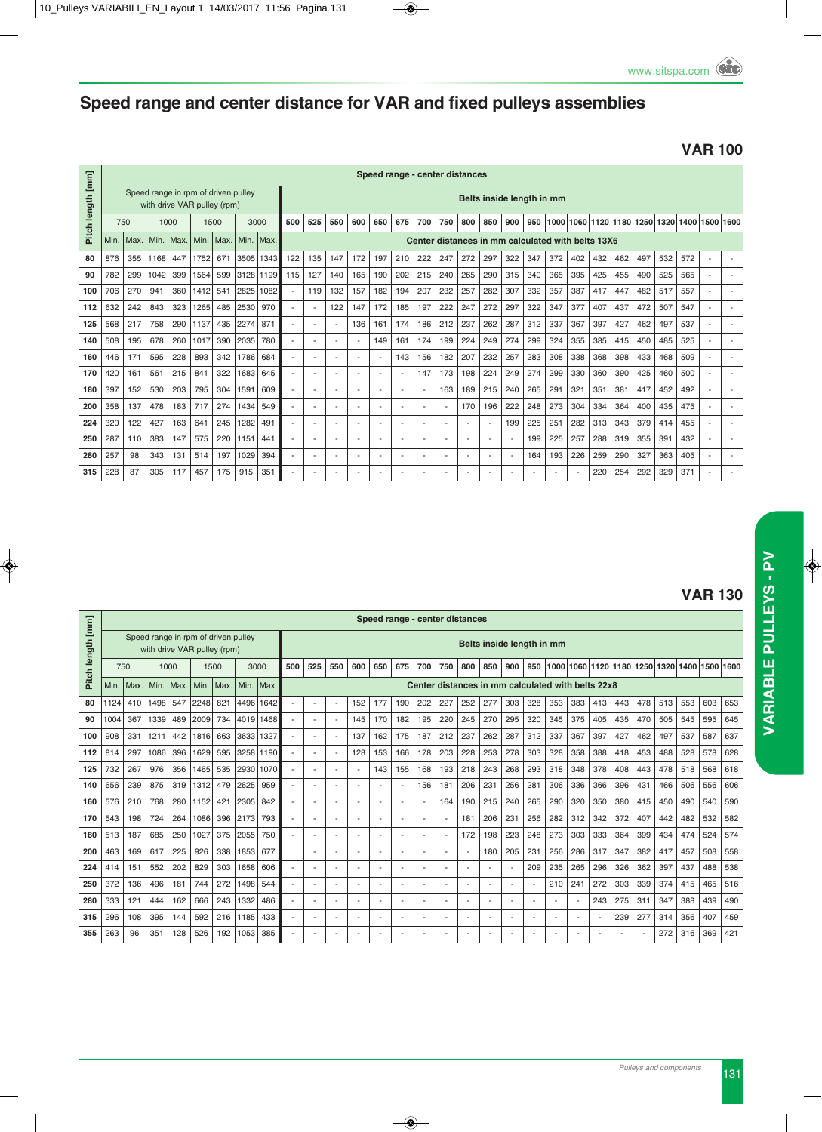# **Speed range and center distance for VAR and fixed pulleys assemblies**

#### **VAR 100**

|                   |      |      |      |                                                                    |      |      |           |      |     |                          |     |                          |     | Speed range - center distances |     |                |     |                          |                                                   |     |      |     |                |     |     |     |                |                          |  |
|-------------------|------|------|------|--------------------------------------------------------------------|------|------|-----------|------|-----|--------------------------|-----|--------------------------|-----|--------------------------------|-----|----------------|-----|--------------------------|---------------------------------------------------|-----|------|-----|----------------|-----|-----|-----|----------------|--------------------------|--|
| Pitch length [mm] |      |      |      | Speed range in rpm of driven pulley<br>with drive VAR pulley (rpm) |      |      |           |      |     |                          |     |                          |     |                                |     |                |     |                          | Belts inside length in mm                         |     |      |     |                |     |     |     |                |                          |  |
|                   | 750  |      | 1000 |                                                                    | 1500 |      | 3000      |      | 500 | 525                      | 550 | 600                      | 650 | 675                            | 700 | 750            | 800 | 850                      | 900                                               | 950 | 1000 |     | 1060 1120 1180 |     |     |     | 1250 1320 1400 | 1500 1600                |  |
|                   | Min. | Max. | Min. | Max.                                                               | Min. | Max. | Min. Max. |      |     |                          |     |                          |     |                                |     |                |     |                          | Center distances in mm calculated with belts 13X6 |     |      |     |                |     |     |     |                |                          |  |
| 80                | 876  | 355  | 1168 | 447                                                                | 1752 | 671  | 3505      | 1343 | 122 | 135                      | 147 | 172                      | 197 | 210                            | 222 | 247            | 272 | 297                      | 322                                               | 347 | 372  | 402 | 432            | 462 | 497 | 532 | 572            | $\overline{\phantom{a}}$ |  |
| 90                | 782  | 299  | 1042 | 399                                                                | 1564 | 599  | 3128 1199 |      | 115 | 127                      | 140 | 165                      | 190 | 202                            | 215 | 240            | 265 | 290                      | 315                                               | 340 | 365  | 395 | 425            | 455 | 490 | 525 | 565            | $\overline{\phantom{a}}$ |  |
| 100               | 706  | 270  | 941  | 360                                                                | 1412 | 541  | 2825      | 1082 |     | 119                      | 132 | 157                      | 182 | 194                            | 207 | 232            | 257 | 282                      | 307                                               | 332 | 357  | 387 | 417            | 447 | 482 | 517 | 557            |                          |  |
| 112               | 632  | 242  | 843  | 323                                                                | 1265 | 485  | 2530      | 970  |     | $\sim$                   | 122 | 147                      | 172 | 185                            | 197 | 222            | 247 | 272                      | 297                                               | 322 | 347  | 377 | 407            | 437 | 472 | 507 | 547            | $\overline{a}$           |  |
| 125               | 568  | 217  | 758  | 290                                                                | 1137 | 435  | 2274      | 871  |     | $\overline{\phantom{a}}$ |     | 136                      | 161 | 174                            | 186 | 212            | 237 | 262                      | 287                                               | 312 | 337  | 367 | 397            | 427 | 462 | 497 | 537            |                          |  |
| 140               | 508  | 195  | 678  | 260                                                                | 1017 | 390  | 2035      | 780  |     | ÷                        |     | $\overline{\phantom{a}}$ | 149 | 161                            | 174 | 199            | 224 | 249                      | 274                                               | 299 | 324  | 355 | 385            | 415 | 450 | 485 | 525            |                          |  |
| 160               | 446  | 171  | 595  | 228                                                                | 893  | 342  | 1786      | 684  |     | ۰.                       |     |                          |     | 143                            | 156 | 182            | 207 | 232                      | 257                                               | 283 | 308  | 338 | 368            | 398 | 433 | 468 | 509            |                          |  |
| 170               | 420  | 161  | 561  | 215                                                                | 841  | 322  | 1683      | 645  |     | ÷                        |     | $\sim$                   |     | ٠                              | 147 | 173            | 198 | 224                      | 249                                               | 274 | 299  | 330 | 360            | 390 | 425 | 460 | 500            |                          |  |
| 180               | 397  | 152  | 530  | 203                                                                | 795  | 304  | 1591      | 609  |     | $\overline{\phantom{a}}$ |     | $\overline{\phantom{a}}$ |     | ٠                              |     | 163            | 189 | 215                      | 240                                               | 265 | 291  | 321 | 351            | 381 | 417 | 452 | 492            |                          |  |
| 200               | 358  | 137  | 478  | 183                                                                | 717  | 274  | 1434      | 549  |     | $\overline{\phantom{a}}$ |     | $\overline{\phantom{a}}$ |     | ٠                              |     | $\sim$         | 170 | 196                      | 222                                               | 248 | 273  | 304 | 334            | 364 | 400 | 435 | 475            |                          |  |
| 224               | 320  | 122  | 427  | 163                                                                | 641  | 245  | 1282      | 491  |     | $\overline{\phantom{a}}$ |     | $\overline{\phantom{a}}$ | -   | ٠                              | ٠   | ٠              |     | $\sim$                   | 199                                               | 225 | 251  | 282 | 313            | 343 | 379 | 414 | 455            |                          |  |
| 250               | 287  | 110  | 383  | 147                                                                | 575  | 220  | 1151      | 441  | ۰.  | $\overline{\phantom{a}}$ |     | $\sim$                   |     | ۰                              |     | $\overline{a}$ |     | $\overline{\phantom{a}}$ | $\overline{\phantom{a}}$                          | 199 | 225  | 257 | 288            | 319 | 355 | 391 | 432            | $\overline{a}$           |  |
| 280               | 257  | 98   | 343  | 131                                                                | 514  | 197  | 1029      | 394  |     | $\overline{\phantom{a}}$ |     |                          |     | ٠                              |     | $\blacksquare$ |     | $\overline{\phantom{a}}$ | $\overline{\phantom{a}}$                          | 164 | 193  | 226 | 259            | 290 | 327 | 363 | 405            |                          |  |
| 315               | 228  | 87   | 305  | 117                                                                | 457  | 175  | 915       | 351  |     |                          |     |                          |     |                                |     |                |     |                          |                                                   |     |      |     | 220            | 254 | 292 | 329 | 371            |                          |  |

## **VAR 130**

|             |      |      |      |      |                                                                    |      |      |      |                |                          |                          |     |                          |                          |                          |                | Speed range - center distances |                |                                                   |                          |      |                |                          |     |     |     |     |                |     |
|-------------|------|------|------|------|--------------------------------------------------------------------|------|------|------|----------------|--------------------------|--------------------------|-----|--------------------------|--------------------------|--------------------------|----------------|--------------------------------|----------------|---------------------------------------------------|--------------------------|------|----------------|--------------------------|-----|-----|-----|-----|----------------|-----|
| length [mm] |      |      |      |      | Speed range in rpm of driven pulley<br>with drive VAR pulley (rpm) |      |      |      |                |                          |                          |     |                          |                          |                          |                |                                |                | Belts inside length in mm                         |                          |      |                |                          |     |     |     |     |                |     |
|             |      | 750  |      | 1000 |                                                                    | 1500 |      | 3000 | 500            | 525                      | 550                      | 600 | 650                      | 675                      | 700                      | 750            | 800                            | 850            | 900                                               | 950                      | 1000 |                | 1060 1120 1180 1250 1320 |     |     |     |     | 1400 1500 1600 |     |
| Pitch       | Min. | Max. | Min. | Max. | Min.                                                               | Max. | Min. | Max. |                |                          |                          |     |                          |                          |                          |                |                                |                | Center distances in mm calculated with belts 22x8 |                          |      |                |                          |     |     |     |     |                |     |
| 80          | 1124 | 410  | 1498 | 547  | 2248                                                               | 821  | 4496 | 1642 | $\blacksquare$ | $\overline{\phantom{a}}$ |                          | 152 | 177                      | 190                      | 202                      | 227            | 252                            | 277            | 303                                               | 328                      | 353  | 383            | 413                      | 443 | 478 | 513 | 553 | 603            | 653 |
| 90          | 1004 | 367  | 1339 | 489  | 2009                                                               | 734  | 4019 | 1468 | $\blacksquare$ | $\overline{\phantom{a}}$ |                          | 145 | 170                      | 182                      | 195                      | 220            | 245                            | 270            | 295                                               | 320                      | 345  | 375            | 405                      | 435 | 470 | 505 | 545 | 595            | 645 |
| 100         | 908  | 331  | 1211 | 442  | 1816                                                               | 663  | 3633 | 1327 | $\overline{a}$ |                          |                          | 137 | 162                      | 175                      | 187                      | 212            | 237                            | 262            | 287                                               | 312                      | 337  | 367            | 397                      | 427 | 462 | 497 | 537 | 587            | 637 |
| 112         | 814  | 297  | 1086 | 396  | 1629                                                               | 595  | 3258 | 1190 | $\overline{a}$ |                          |                          | 128 | 153                      | 166                      | 178                      | 203            | 228                            | 253            | 278                                               | 303                      | 328  | 358            | 388                      | 418 | 453 | 488 | 528 | 578            | 628 |
| 125         | 732  | 267  | 976  | 356  | 1465                                                               | 535  | 2930 | 1070 | $\overline{a}$ |                          | $\overline{\phantom{a}}$ | ٠   | 143                      | 155                      | 168                      | 193            | 218                            | 243            | 268                                               | 293                      | 318  | 348            | 378                      | 408 | 443 | 478 | 518 | 568            | 618 |
| 140         | 656  | 239  | 875  | 319  | 1312                                                               | 479  | 2625 | 959  | $\mathbf{r}$   |                          |                          |     | $\overline{a}$           | $\overline{\phantom{a}}$ | 156                      | 181            | 206                            | 231            | 256                                               | 281                      | 306  | 336            | 366                      | 396 | 431 | 466 | 506 | 556            | 606 |
| 160         | 576  | 210  | 768  | 280  | 1152                                                               | 421  | 2305 | 842  | $\blacksquare$ |                          | $\overline{\phantom{a}}$ | ٠   | $\overline{\phantom{a}}$ | $\overline{\phantom{a}}$ |                          | 164            | 190                            | 215            | 240                                               | 265                      | 290  | 320            | 350                      | 380 | 415 | 450 | 490 | 540            | 590 |
| 170         | 543  | 198  | 724  | 264  | 1086                                                               | 396  | 2173 | 793  | $\sim$         | $\overline{\phantom{a}}$ | $\overline{\phantom{a}}$ | ۰   | $\overline{a}$           | ٠                        | $\overline{\phantom{a}}$ | ٠              | 181                            | 206            | 231                                               | 256                      | 282  | 312            | 342                      | 372 | 407 | 442 | 482 | 532            | 582 |
| 180         | 513  | 187  | 685  | 250  | 1027                                                               | 375  | 2055 | 750  | $\overline{a}$ |                          |                          |     | ٠                        | ۰                        |                          | $\blacksquare$ | 172                            | 198            | 223                                               | 248                      | 273  | 303            | 333                      | 364 | 399 | 434 | 474 | 524            | 574 |
| 200         | 463  | 169  | 617  | 225  | 926                                                                | 338  | 1853 | 677  |                |                          | $\overline{\phantom{a}}$ | ٠   | $\blacksquare$           | $\overline{\phantom{a}}$ |                          | $\blacksquare$ |                                | 180            | 205                                               | 231                      | 256  | 286            | 317                      | 347 | 382 | 417 | 457 | 508            | 558 |
| 224         | 414  | 151  | 552  | 202  | 829                                                                | 303  | 1658 | 606  | $\sim$         |                          | $\overline{\phantom{a}}$ | ۰   | $\overline{a}$           | ٠                        | $\overline{a}$           |                |                                | ٠              |                                                   | 209                      | 235  | 265            | 296                      | 326 | 362 | 397 | 437 | 488            | 538 |
| 250         | 372  | 136  | 496  | 181  | 744                                                                | 272  | 1498 | 544  | $\overline{a}$ |                          |                          |     | $\overline{\phantom{a}}$ | ٠                        |                          | ٠.             |                                | ۰              | ۰.                                                | $\overline{\phantom{a}}$ | 210  | 241            | 272                      | 303 | 339 | 374 | 415 | 465            | 516 |
| 280         | 333  | 121  | 444  | 162  | 666                                                                | 243  | 1332 | 486  | $\sim$         |                          | ٠                        | ٠   | $\overline{\phantom{a}}$ | $\overline{\phantom{a}}$ |                          | $\blacksquare$ |                                | $\blacksquare$ | ۰.                                                | $\overline{\phantom{a}}$ |      |                | 243                      | 275 | 311 | 347 | 388 | 439            | 490 |
| 315         | 296  | 108  | 395  | 144  | 592                                                                | 216  | 1185 | 433  | $\blacksquare$ |                          | $\overline{\phantom{a}}$ | ٠   | $\overline{\phantom{a}}$ | ٠                        |                          | $\blacksquare$ |                                | ٠              | ٠                                                 | ٠                        |      | $\blacksquare$ | $\overline{\phantom{a}}$ | 239 | 277 | 314 | 356 | 407            | 459 |
| 355         | 263  | 96   | 351  | 128  | 526                                                                | 192  | 1053 | 385  |                |                          |                          |     |                          |                          |                          |                |                                |                |                                                   |                          |      |                |                          |     |     | 272 | 316 | 369            | 421 |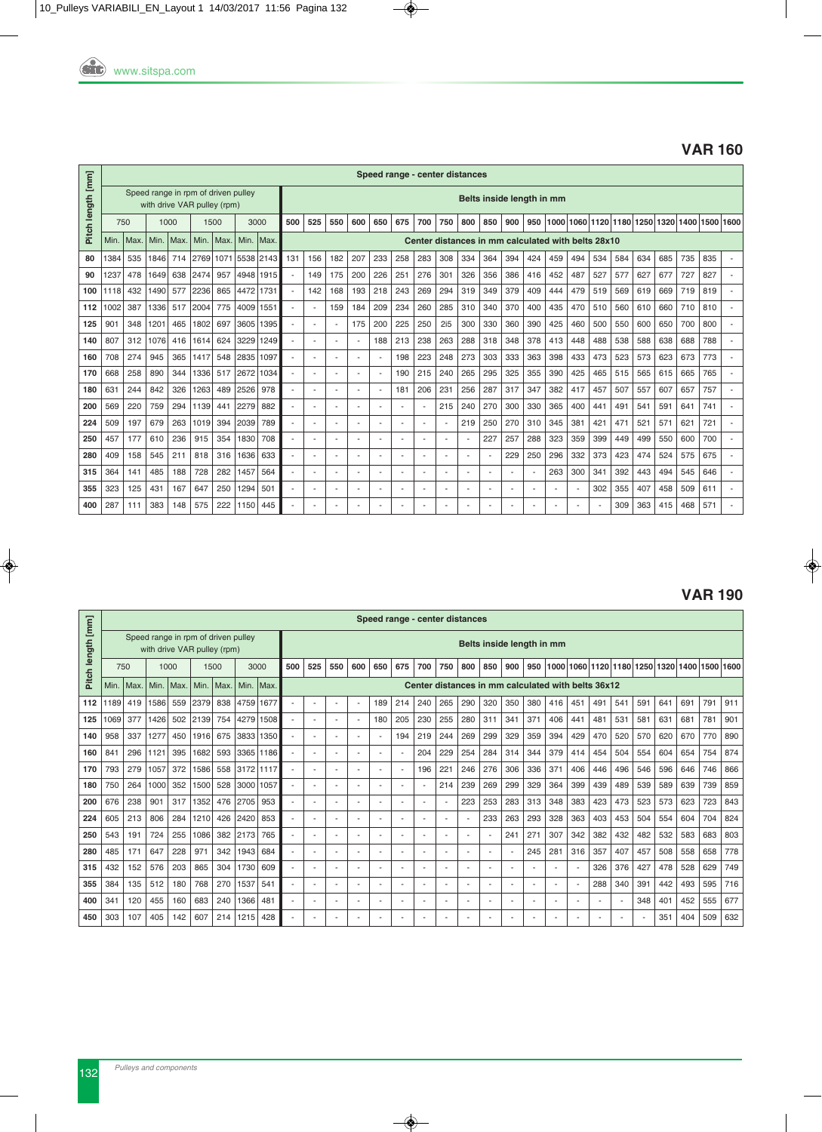#### **VAR 160**

|                   |      |      |      |      |                                                                    |      |      |            |                          |     |                          |     |                          |                          | Speed range - center distances |                          |                |                          |                                                    |     |      |                          |     |     |      |      |      |      |      |
|-------------------|------|------|------|------|--------------------------------------------------------------------|------|------|------------|--------------------------|-----|--------------------------|-----|--------------------------|--------------------------|--------------------------------|--------------------------|----------------|--------------------------|----------------------------------------------------|-----|------|--------------------------|-----|-----|------|------|------|------|------|
| Pitch length [mm] |      |      |      |      | Speed range in rpm of driven pulley<br>with drive VAR pulley (rpm) |      |      |            |                          |     |                          |     |                          |                          |                                |                          |                |                          | Belts inside length in mm                          |     |      |                          |     |     |      |      |      |      |      |
|                   | 750  |      |      | 1000 | 1500                                                               |      |      | 3000       | 500                      | 525 | 550                      | 600 | 650                      | 675                      | 700                            | 750                      | 800            | 850                      | 900                                                | 950 | 1000 | 1060 1120 1180           |     |     | 1250 | 1320 | 1400 | 1500 | 1600 |
|                   | Min. | Max. | Min. | Max. | Min.                                                               | Max. | Min. | <b>Max</b> |                          |     |                          |     |                          |                          |                                |                          |                |                          | Center distances in mm calculated with belts 28x10 |     |      |                          |     |     |      |      |      |      |      |
| 80                | 1384 | 535  | 1846 | 714  | 2769                                                               | 1071 |      | 5538 2143  | 131                      | 156 | 182                      | 207 | 233                      | 258                      | 283                            | 308                      | 334            | 364                      | 394                                                | 424 | 459  | 494                      | 534 | 584 | 634  | 685  | 735  | 835  |      |
| 90                | 1237 | 478  | 1649 | 638  | 2474                                                               | 957  | 4948 | 1915       |                          | 149 | 175                      | 200 | 226                      | 251                      | 276                            | 301                      | 326            | 356                      | 386                                                | 416 | 452  | 487                      | 527 | 577 | 627  | 677  | 727  | 827  |      |
| 100               | 1118 | 432  | 1490 | 577  | 2236                                                               | 865  | 4472 | 1731       |                          | 142 | 168                      | 193 | 218                      | 243                      | 269                            | 294                      | 319            | 349                      | 379                                                | 409 | 444  | 479                      | 519 | 569 | 619  | 669  | 719  | 819  |      |
| 112               | 1002 | 387  | 1336 | 517  | 2004                                                               | 775  | 4009 | 1551       | $\overline{\phantom{a}}$ | ٠   | 159                      | 184 | 209                      | 234                      | 260                            | 285                      | 310            | 340                      | 370                                                | 400 | 435  | 470                      | 510 | 560 | 610  | 660  | 710  | 810  |      |
| 125               | 901  | 348  | 1201 | 465  | 1802                                                               | 697  | 3605 | 1395       |                          | ٠   | ٠                        | 175 | 200                      | 225                      | 250                            | 2i5                      | 300            | 330                      | 360                                                | 390 | 425  | 460                      | 500 | 550 | 600  | 650  | 700  | 800  |      |
| 140               | 807  | 312  | 1076 | 416  | 1614                                                               | 624  | 3229 | 1249       | $\overline{a}$           |     |                          | ٠   | 188                      | 213                      | 238                            | 263                      | 288            | 318                      | 348                                                | 378 | 413  | 448                      | 488 | 538 | 588  | 638  | 688  | 788  |      |
| 160               | 708  | 274  | 945  | 365  | 1417                                                               | 548  | 2835 | 1097       | $\overline{\phantom{a}}$ | ٠   | ٠                        | ä,  |                          | 198                      | 223                            | 248                      | 273            | 303                      | 333                                                | 363 | 398  | 433                      | 473 | 523 | 573  | 623  | 673  | 773  |      |
| 170               | 668  | 258  | 890  | 344  | 1336                                                               | 517  | 2672 | 1034       | $\overline{\phantom{a}}$ |     |                          |     |                          | 190                      | 215                            | 240                      | 265            | 295                      | 325                                                | 355 | 390  | 425                      | 465 | 515 | 565  | 615  | 665  | 765  |      |
| 180               | 631  | 244  | 842  | 326  | 1263                                                               | 489  | 2526 | 978        | $\sim$                   | ٠   | $\overline{a}$           | ٠   | $\overline{\phantom{a}}$ | 181                      | 206                            | 231                      | 256            | 287                      | 317                                                | 347 | 382  | 417                      | 457 | 507 | 557  | 607  | 657  | 757  |      |
| 200               | 569  | 220  | 759  | 294  | 1139                                                               | 441  | 2279 | 882        | $\overline{\phantom{a}}$ |     | $\overline{\phantom{a}}$ | ٠   | $\overline{\phantom{a}}$ | $\overline{\phantom{a}}$ |                                | 215                      | 240            | 270                      | 300                                                | 330 | 365  | 400                      | 441 | 491 | 541  | 591  | 641  | 741  |      |
| 224               | 509  | 197  | 679  | 263  | 1019                                                               | 394  | 2039 | 789        | $\overline{\phantom{a}}$ | ٠   | ٠                        | ٠   | $\blacksquare$           | ٠                        |                                | $\overline{\phantom{a}}$ | 219            | 250                      | 270                                                | 310 | 345  | 381                      | 421 | 471 | 521  | 571  | 621  | 721  |      |
| 250               | 457  | 177  | 610  | 236  | 915                                                                | 354  | 1830 | 708        | $\overline{a}$           |     |                          |     | $\overline{\phantom{a}}$ | ٠                        |                                |                          |                | 227                      | 257                                                | 288 | 323  | 359                      | 399 | 449 | 499  | 550  | 600  | 700  |      |
| 280               | 409  | 158  | 545  | 211  | 818                                                                | 316  | 1636 | 633        | $\overline{\phantom{a}}$ | ٠   | ٠                        | ٠   | $\overline{a}$           | ٠                        |                                | ÷.                       |                | $\overline{\phantom{a}}$ | 229                                                | 250 | 296  | 332                      | 373 | 423 | 474  | 524  | 575  | 675  |      |
| 315               | 364  | 141  | 485  | 188  | 728                                                                | 282  | 1457 | 564        | $\overline{a}$           |     |                          |     | $\overline{a}$           |                          |                                | ÷.                       |                | $\overline{a}$           |                                                    | ٠   | 263  | 300                      | 341 | 392 | 443  | 494  | 545  | 646  |      |
| 355               | 323  | 125  | 431  | 167  | 647                                                                | 250  | 1294 | 501        | $\overline{\phantom{a}}$ | ٠   | $\overline{\phantom{a}}$ | ٠   | $\overline{a}$           | $\overline{a}$           |                                | ÷.                       | $\overline{a}$ | $\overline{a}$           |                                                    | ٠   |      | $\overline{\phantom{a}}$ | 302 | 355 | 407  | 458  | 509  | 611  |      |
| 400               | 287  | 111  | 383  | 148  | 575                                                                | 222  | 1150 | 445        |                          |     |                          |     |                          |                          |                                |                          |                |                          |                                                    |     |      |                          |     | 309 | 363  | 415  | 468  | 571  |      |

#### **VAR 190**

|                   |      |      |                                                                    |      |      |      |      |           |                          |                          |                          |                          | Speed range - center distances |                          |                          |                          |                          |                          |                           |     |                          |     |                                                    |                                              |     |     |     |     |     |
|-------------------|------|------|--------------------------------------------------------------------|------|------|------|------|-----------|--------------------------|--------------------------|--------------------------|--------------------------|--------------------------------|--------------------------|--------------------------|--------------------------|--------------------------|--------------------------|---------------------------|-----|--------------------------|-----|----------------------------------------------------|----------------------------------------------|-----|-----|-----|-----|-----|
| Pitch length [mm] |      |      | Speed range in rpm of driven pulley<br>with drive VAR pulley (rpm) |      |      |      |      |           |                          |                          |                          |                          |                                |                          |                          |                          |                          |                          | Belts inside length in mm |     |                          |     |                                                    |                                              |     |     |     |     |     |
|                   | 750  |      |                                                                    | 1000 |      | 1500 |      | 3000      | 500                      | 525                      | 550                      | 600                      | 650                            | 675                      | 700                      | 750                      | 800                      | 850                      | 900                       | 950 |                          |     |                                                    | 1000 1060 1120 1180 1250 1320 1400 1500 1600 |     |     |     |     |     |
|                   | Min. | Max. | Min.                                                               | Max. | Min. | Max. | Min. | Max.      |                          |                          |                          |                          |                                |                          |                          |                          |                          |                          |                           |     |                          |     | Center distances in mm calculated with belts 36x12 |                                              |     |     |     |     |     |
| 112               | 189  | 419  | 1586                                                               | 559  | 2379 | 838  | 4759 | 1677      |                          | $\overline{\phantom{a}}$ |                          |                          | 189                            | 214                      | 240                      | 265                      | 290                      | 320                      | 350                       | 380 | 416                      | 451 | 491                                                | 541                                          | 591 | 641 | 691 | 791 | 911 |
| 125               | 069  | 377  | 1426                                                               | 502  | 2139 | 754  | 4279 | 1508      |                          | $\overline{a}$           |                          | $\overline{a}$           | 180                            | 205                      | 230                      | 255                      | 280                      | 311                      | 341                       | 371 | 406                      | 441 | 481                                                | 531                                          | 581 | 631 | 681 | 781 | 901 |
| 140               | 958  | 337  | 1277                                                               | 450  | 1916 | 675  |      | 3833 1350 |                          | $\overline{\phantom{a}}$ |                          |                          |                                | 194                      | 219                      | 244                      | 269                      | 299                      | 329                       | 359 | 394                      | 429 | 470                                                | 520                                          | 570 | 620 | 670 | 770 | 890 |
| 160               | 841  | 296  | 1121                                                               | 395  | 1682 | 593  |      | 3365 1186 |                          | ۰.                       |                          |                          |                                | ٠                        | 204                      | 229                      | 254                      | 284                      | 314                       | 344 | 379                      | 414 | 454                                                | 504                                          | 554 | 604 | 654 | 754 | 874 |
| 170               | 793  | 279  | 1057                                                               | 372  | 1586 | 558  |      | 3172 1117 |                          | $\overline{a}$           |                          |                          |                                | $\overline{\phantom{a}}$ | 196                      | 221                      | 246                      | 276                      | 306                       | 336 | 371                      | 406 | 446                                                | 496                                          | 546 | 596 | 646 | 746 | 866 |
| 180               | 750  | 264  | 1000                                                               | 352  | 1500 | 528  |      | 3000 1057 |                          | ۰.                       |                          | $\overline{\phantom{a}}$ |                                | ٠                        |                          | 214                      | 239                      | 269                      | 299                       | 329 | 364                      | 399 | 439                                                | 489                                          | 539 | 589 | 639 | 739 | 859 |
| 200               | 676  | 238  | 901                                                                | 317  | 1352 | 476  | 2705 | 953       |                          | $\overline{a}$           |                          | $\overline{\phantom{a}}$ |                                | ٠                        |                          | $\overline{a}$           | 223                      | 253                      | 283                       | 313 | 348                      | 383 | 423                                                | 473                                          | 523 | 573 | 623 | 723 | 843 |
| 224               | 605  | 213  | 806                                                                | 284  | 1210 | 426  | 2420 | 853       | ٠                        | $\overline{\phantom{a}}$ | $\overline{\phantom{a}}$ | $\overline{a}$           |                                | $\overline{\phantom{a}}$ |                          | $\overline{\phantom{a}}$ |                          | 233                      | 263                       | 293 | 328                      | 363 | 403                                                | 453                                          | 504 | 554 | 604 | 704 | 824 |
| 250               | 543  | 191  | 724                                                                | 255  | 1086 | 382  | 2173 | 765       | ٠                        | $\overline{\phantom{a}}$ |                          | $\overline{\phantom{a}}$ |                                | ٠                        |                          | $\overline{\phantom{a}}$ | ٠                        | $\overline{\phantom{a}}$ | 241                       | 271 | 307                      | 342 | 382                                                | 432                                          | 482 | 532 | 583 | 683 | 803 |
| 280               | 485  | 171  | 647                                                                | 228  | 971  | 342  | 1943 | 684       | $\overline{\phantom{a}}$ | $\overline{a}$           | $\overline{\phantom{a}}$ | $\overline{a}$           |                                | $\overline{\phantom{a}}$ | $\overline{\phantom{a}}$ | $\overline{\phantom{a}}$ | $\overline{\phantom{a}}$ | $\overline{\phantom{a}}$ | $\overline{a}$            | 245 | 281                      | 316 | 357                                                | 407                                          | 457 | 508 | 558 | 658 | 778 |
| 315               | 432  | 152  | 576                                                                | 203  | 865  | 304  | 1730 | 609       |                          | $\overline{\phantom{a}}$ |                          |                          |                                | ٠                        |                          | $\blacksquare$           |                          | ٠                        | ٠                         | ٠   | $\overline{\phantom{a}}$ |     | 326                                                | 376                                          | 427 | 478 | 528 | 629 | 749 |
| 355               | 384  | 135  | 512                                                                | 180  | 768  | 270  | 1537 | 541       |                          |                          |                          |                          |                                |                          |                          | ٠.                       |                          |                          |                           |     | и,                       |     | 288                                                | 340                                          | 391 | 442 | 493 | 595 | 716 |
| 400               | 341  | 120  | 455                                                                | 160  | 683  | 240  | 1366 | 481       |                          | ۰.                       |                          |                          |                                | ٠                        |                          | $\overline{\phantom{a}}$ |                          | ٠                        |                           |     | ٠.                       |     | ٠                                                  |                                              | 348 | 401 | 452 | 555 | 677 |
| 450               | 303  | 107  | 405                                                                | 142  | 607  | 214  | 1215 | 428       |                          |                          |                          |                          |                                | ٠                        |                          |                          |                          |                          |                           |     | ٠.                       |     |                                                    |                                              |     | 351 | 404 | 509 | 632 |